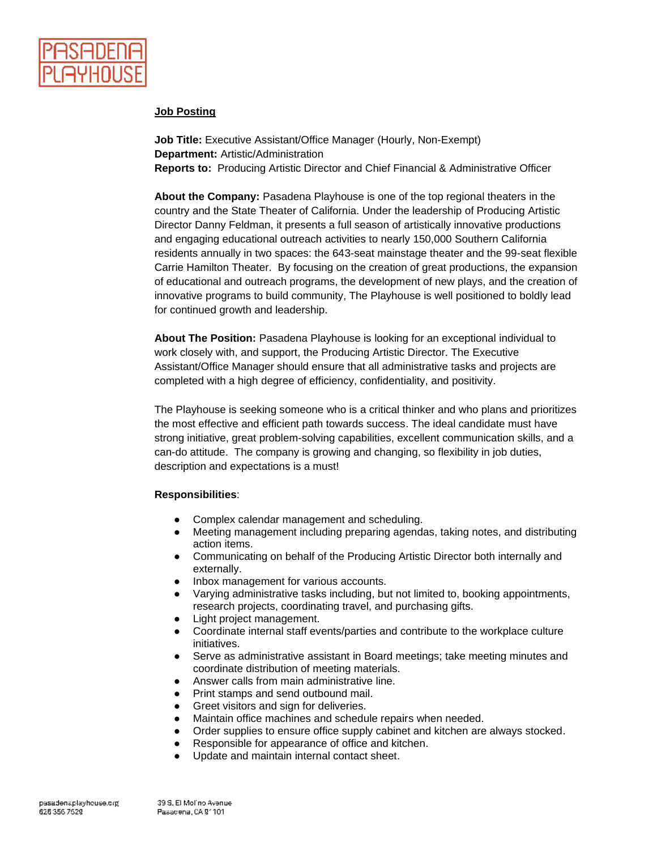

## **Job Posting**

**Job Title:** Executive Assistant/Office Manager (Hourly, Non-Exempt) **Department:** Artistic/Administration **Reports to:** Producing Artistic Director and Chief Financial & Administrative Officer

**About the Company:** Pasadena Playhouse is one of the top regional theaters in the country and the State Theater of California. Under the leadership of Producing Artistic Director Danny Feldman, it presents a full season of artistically innovative productions and engaging educational outreach activities to nearly 150,000 Southern California residents annually in two spaces: the 643-seat mainstage theater and the 99-seat flexible Carrie Hamilton Theater. By focusing on the creation of great productions, the expansion of educational and outreach programs, the development of new plays, and the creation of innovative programs to build community, The Playhouse is well positioned to boldly lead for continued growth and leadership.

**About The Position:** Pasadena Playhouse is looking for an exceptional individual to work closely with, and support, the Producing Artistic Director. The Executive Assistant/Office Manager should ensure that all administrative tasks and projects are completed with a high degree of efficiency, confidentiality, and positivity.

The Playhouse is seeking someone who is a critical thinker and who plans and prioritizes the most effective and efficient path towards success. The ideal candidate must have strong initiative, great problem-solving capabilities, excellent communication skills, and a can-do attitude. The company is growing and changing, so flexibility in job duties, description and expectations is a must!

## **Responsibilities**:

- Complex calendar management and scheduling.
- Meeting management including preparing agendas, taking notes, and distributing action items.
- Communicating on behalf of the Producing Artistic Director both internally and externally.
- Inbox management for various accounts.
- Varying administrative tasks including, but not limited to, booking appointments, research projects, coordinating travel, and purchasing gifts.
- Light project management.
- Coordinate internal staff events/parties and contribute to the workplace culture initiatives.
- Serve as administrative assistant in Board meetings; take meeting minutes and coordinate distribution of meeting materials.
- Answer calls from main administrative line.
- Print stamps and send outbound mail.
- Greet visitors and sign for deliveries.
- Maintain office machines and schedule repairs when needed.
- Order supplies to ensure office supply cabinet and kitchen are always stocked.
- Responsible for appearance of office and kitchen.
- Update and maintain internal contact sheet.

39 S. El Molino Avenue Pasadena, CA 91101